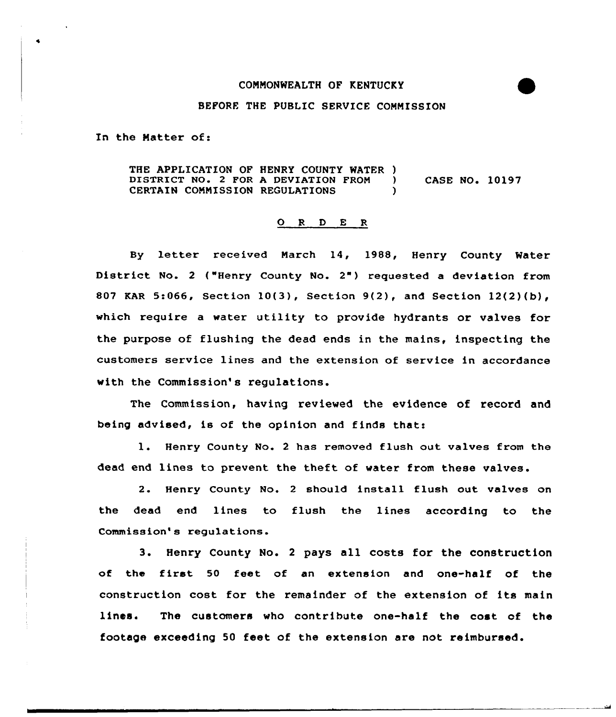## COMMONWEALTH OF RENTUCKY

## BEFORE THE PUBLIC SERVICE COMNISSION

In the Natter of:

THE APPLICATION OF HENRY COUNTY WATER )<br>DISTRICT NO. 2 FOR A DEVIATION FROM ) DISTRICT NO. 2 FOR A DEVIATION FROM ) CASE NO. 10197<br>CERTAIN COMMISSION REGULATIONS CERTAIN COMMISSION REGULATIONS

## 0 <sup>R</sup> <sup>D</sup> <sup>E</sup> <sup>R</sup>

By letter received March 14, 1988, Henry County Water District No. <sup>2</sup> ("Henry County No. 2") requested <sup>a</sup> deviation from 807 KAR 5:066, Section 10(3), Section 9(2), and Section 12(2)(b), which require a water utility to provide hydrants or valves for the purpose of fLushing the dead ends in the mains, inspecting the customers service lines and the extension of service in accordance with the Commission's regulations.

The Commission, having reviewed the evidence of record and being advised, is of the opinion and finds that:

1. Henry County No. 2 has removed flush out valves from the dead end lines to prevent the theft of water from these valves.

2. Henry County No. <sup>2</sup> should install flush out valves on the dead end lines to flush the lines according to the Commission's regulations.

3. Henry County No. <sup>2</sup> pays all costs for the construction of the first <sup>50</sup> feet af an extension and one-half of the construction cost for the remainder of the extension of its main lines. The customers who contribute one-half the cost of the footage exceeding 50 feet of the extension are not reimbursed.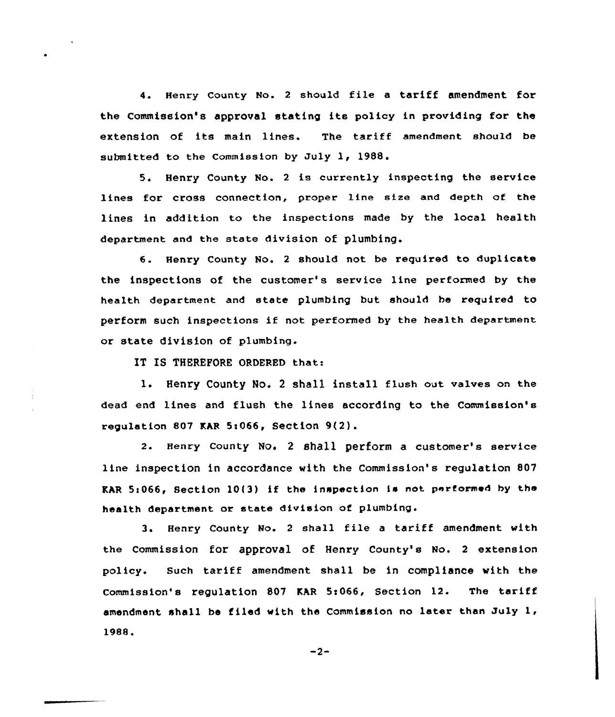4. Henry county No. <sup>2</sup> should file <sup>a</sup> tariff amendment for the Commission's approval stating its policy in providing for the extension of its main lines. The tariff amendment should be submitted to the Commission by July 1, 1988.

5. Henry County No. 2 is currently inspecting the service lines for cross connection, proper line size and depth of the lines in addition to the inspections made by the local health department and the state division of plumbing.

6. Henry County No. <sup>2</sup> should not be required to duplicate the inspections of the customer's service line performed by the health department and state plumbing but should be required to perform such inspections if not performed by the health department or state division of plumbing.

IT IS THEREFORE ORDERED that:

1. Henry County No. <sup>2</sup> shall install flush out valves on the dead end lines and flush the lines according to the Commission's regulation 807 KAR 5i066, Section 9(2).

2. Henry county No. <sup>2</sup> shall perform a customer's service line inspection in accordance with the Commission's regulation 807 KAR  $5:066$ , Section  $10(3)$  if the inspection is not performed by the health department or state division of plumbing.

3. Henry County No. <sup>2</sup> shall file <sup>a</sup> tariff amendment with the commission for approval of Henry County's No. <sup>2</sup> extension policy. Such tariff amendment shall be in compliance with the Commission's regulation 807 KAR 5:066, Section  $12.$  The tariff amendment shall be filed with the Commission no later than July 1, 198&

$$
-2-
$$